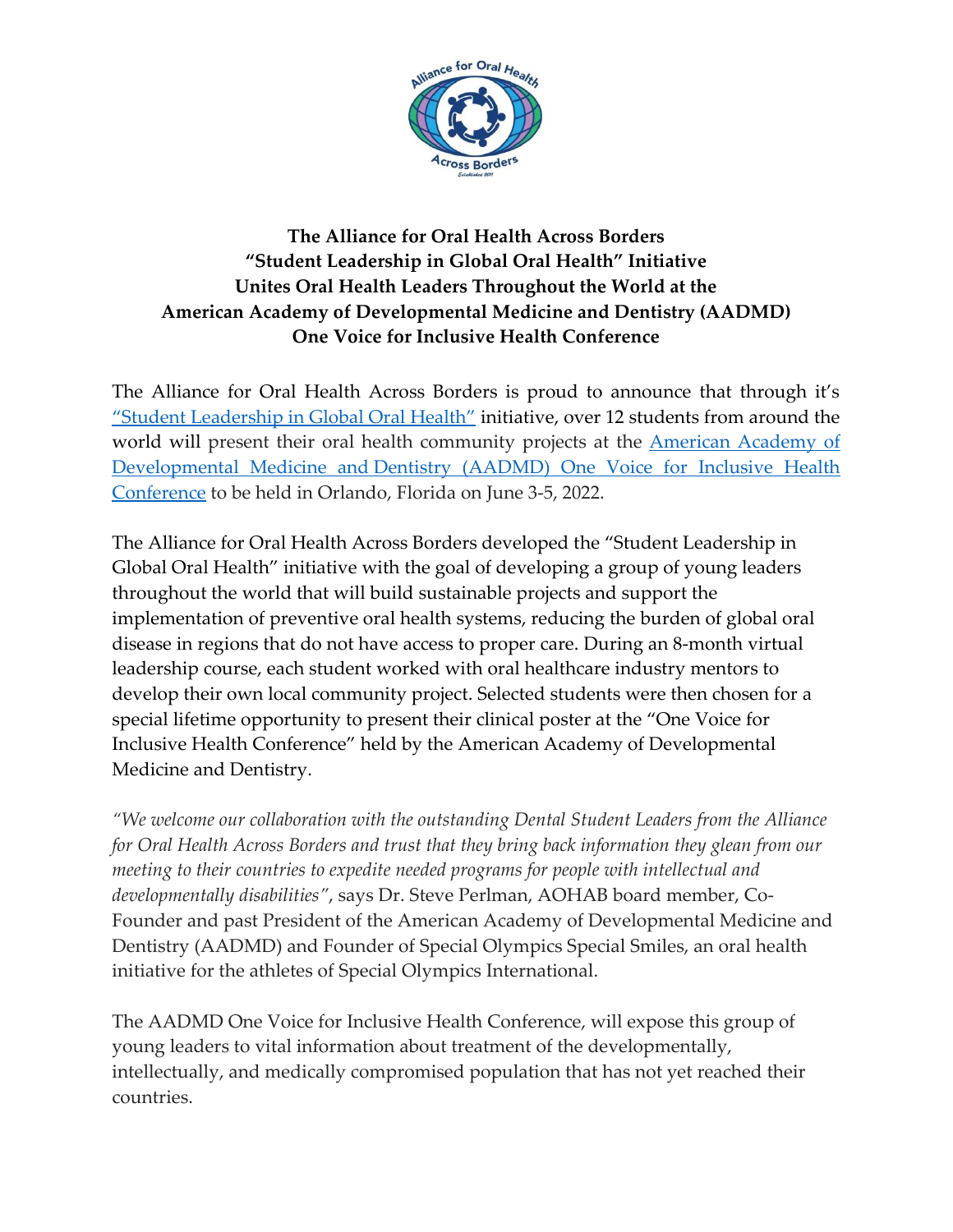

## **The Alliance for Oral Health Across Borders "Student Leadership in Global Oral Health" Initiative Unites Oral Health Leaders Throughout the World at the American Academy of Developmental Medicine and Dentistry (AADMD) One Voice for Inclusive Health Conference**

The Alliance for Oral Health Across Borders is proud to announce that through it's ["Student Leadership in Global Oral Health"](https://alliancefororalhealthacrossborders.com/initiatives/leadership-in-global-health/) initiative, over 12 students from around the world will present their oral health community projects at the **American Academy of** Developmental Medicine and [Dentistry \(AADMD\) One Voice for Inclusive Health](https://aadmdconference.com/)  [Conference](https://aadmdconference.com/) to be held in Orlando, Florida on June 3-5, 2022.

The Alliance for Oral Health Across Borders developed the "Student Leadership in Global Oral Health" initiative with the goal of developing a group of young leaders throughout the world that will build sustainable projects and support the implementation of preventive oral health systems, reducing the burden of global oral disease in regions that do not have access to proper care. During an 8-month virtual leadership course, each student worked with oral healthcare industry mentors to develop their own local community project. Selected students were then chosen for a special lifetime opportunity to present their clinical poster at the "One Voice for Inclusive Health Conference" held by the American Academy of Developmental Medicine and Dentistry.

*"We welcome our collaboration with the outstanding Dental Student Leaders from the Alliance for Oral Health Across Borders and trust that they bring back information they glean from our meeting to their countries to expedite needed programs for people with intellectual and developmentally disabilities"*, says Dr. Steve Perlman, AOHAB board member, Co-Founder and past President of the American Academy of Developmental Medicine and Dentistry (AADMD) and Founder of Special Olympics Special Smiles, an oral health initiative for the athletes of Special Olympics International.

The AADMD One Voice for Inclusive Health Conference, will expose this group of young leaders to vital information about treatment of the developmentally, intellectually, and medically compromised population that has not yet reached their countries.